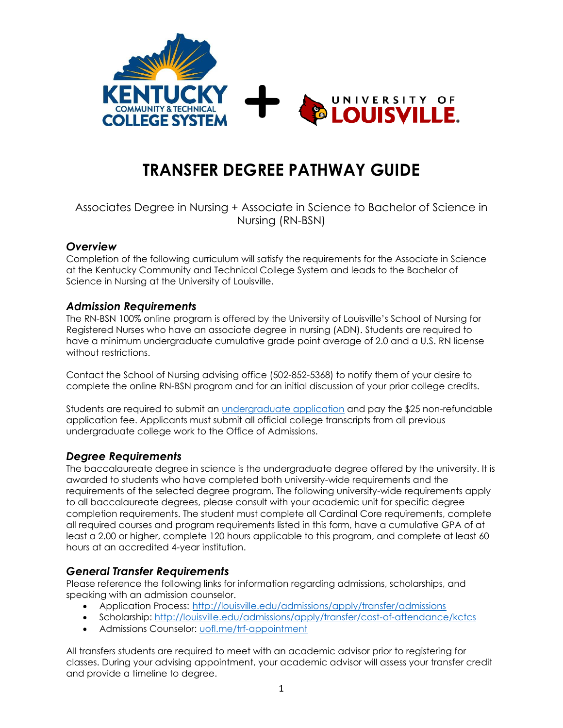

# **TRANSFER DEGREE PATHWAY GUIDE**

# Associates Degree in Nursing + Associate in Science to Bachelor of Science in Nursing (RN-BSN)

## *Overview*

Completion of the following curriculum will satisfy the requirements for the Associate in Science at the Kentucky Community and Technical College System and leads to the Bachelor of Science in Nursing at the University of Louisville.

## *Admission Requirements*

The RN-BSN 100% online program is offered by the University of Louisville's School of Nursing for Registered Nurses who have an associate degree in nursing (ADN). Students are required to have a minimum undergraduate cumulative grade point average of 2.0 and a U.S. RN license without restrictions.

Contact the School of Nursing advising office (502-852-5368) to notify them of your desire to complete the online RN-BSN program and for an initial discussion of your prior college credits.

Students are required to submit an *undergraduate application* and pay the \$25 non-refundable application fee. Applicants must submit all official college transcripts from all previous undergraduate college work to the Office of Admissions.

## *Degree Requirements*

The baccalaureate degree in science is the undergraduate degree offered by the university. It is awarded to students who have completed both university-wide requirements and the requirements of the selected degree program. The following university-wide requirements apply to all baccalaureate degrees, please consult with your academic unit for specific degree completion requirements. The student must complete all Cardinal Core requirements, complete all required courses and program requirements listed in this form, have a cumulative GPA of at least a 2.00 or higher, complete 120 hours applicable to this program, and complete at least 60 hours at an accredited 4-year institution.

# *General Transfer Requirements*

Please reference the following links for information regarding admissions, scholarships, and speaking with an admission counselor.

- Application Process: <http://louisville.edu/admissions/apply/transfer/admissions>
- Scholarship:<http://louisville.edu/admissions/apply/transfer/cost-of-attendance/kctcs>
- Admissions Counselor: [uofl.me/trf-appointment](http://uofl.me/trf-appointment)

All transfers students are required to meet with an academic advisor prior to registering for classes. During your advising appointment, your academic advisor will assess your transfer credit and provide a timeline to degree.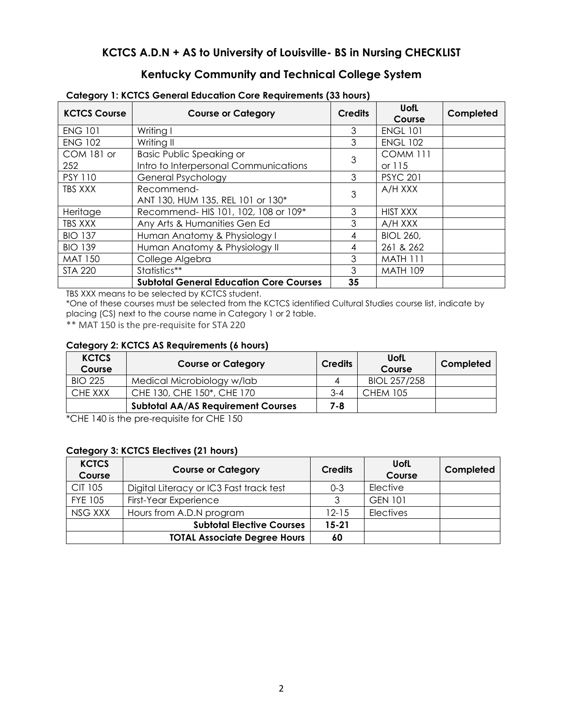# **KCTCS A.D.N + AS to University of Louisville- BS in Nursing CHECKLIST**

# **Kentucky Community and Technical College System**

| <b>KCTCS Course</b> | <b>Course or Category</b>                      | <b>Credits</b> | <b>UofL</b><br>Course | Completed |
|---------------------|------------------------------------------------|----------------|-----------------------|-----------|
| <b>ENG 101</b>      | Writing I                                      | 3              | <b>ENGL 101</b>       |           |
| <b>ENG 102</b>      | Writing II                                     | 3              | <b>ENGL 102</b>       |           |
| COM 181 or          | <b>Basic Public Speaking or</b>                | 3              | <b>COMM 111</b>       |           |
| 252                 | Intro to Interpersonal Communications          |                | or 115                |           |
| <b>PSY 110</b>      | <b>General Psychology</b>                      | 3              | <b>PSYC 201</b>       |           |
| TBS XXX             | Recommend-                                     | 3              | A/H XXX               |           |
|                     | ANT 130, HUM 135, REL 101 or 130*              |                |                       |           |
| Heritage            | Recommend- HIS 101, 102, 108 or 109*           | 3              | <b>HIST XXX</b>       |           |
| TBS XXX             | Any Arts & Humanities Gen Ed                   | 3              | A/H XXX               |           |
| <b>BIO 137</b>      | Human Anatomy & Physiology I                   | 4              | <b>BIOL 260,</b>      |           |
| <b>BIO 139</b>      | Human Anatomy & Physiology II                  | 4              | 261 & 262             |           |
| <b>MAT 150</b>      | College Algebra                                | 3              | MATH 111              |           |
| <b>STA 220</b>      | Statistics**                                   | 3              | <b>MATH 109</b>       |           |
|                     | <b>Subtotal General Education Core Courses</b> | 35             |                       |           |

**Category 1: KCTCS General Education Core Requirements (33 hours)**

TBS XXX means to be selected by KCTCS student.

\*One of these courses must be selected from the KCTCS identified Cultural Studies course list, indicate by placing (CS) next to the course name in Category 1 or 2 table.

\*\* MAT 150 is the pre-requisite for STA 220

#### **Category 2: KCTCS AS Requirements (6 hours)**

| <b>KCTCS</b><br>Course | <b>Course or Category</b>                 | <b>Credits</b> | <b>UofL</b><br>Course | Completed |
|------------------------|-------------------------------------------|----------------|-----------------------|-----------|
| <b>BIO 225</b>         | Medical Microbiology w/lab                |                | BIOL 257/258          |           |
| CHE XXX                | CHE 130, CHE 150*, CHE 170                | $3 - 4$        | <b>CHEM 105</b>       |           |
|                        | <b>Subtotal AA/AS Requirement Courses</b> | 7-8            |                       |           |

\*CHE 140 is the pre-requisite for CHE 150

#### **Category 3: KCTCS Electives (21 hours)**

| <b>KCTCS</b><br>Course | <b>Course or Category</b>               | <b>Credits</b> | <b>UofL</b><br>Course | Completed |
|------------------------|-----------------------------------------|----------------|-----------------------|-----------|
| <b>CIT 105</b>         | Digital Literacy or IC3 Fast track test | $0 - 3$        | Elective              |           |
| <b>FYE 105</b>         | <b>First-Year Experience</b>            | ર              | <b>GEN 101</b>        |           |
| NSG XXX                | Hours from A.D.N program                | $12 - 15$      | <b>Electives</b>      |           |
|                        | <b>Subtotal Elective Courses</b>        | $15 - 21$      |                       |           |
|                        | <b>TOTAL Associate Degree Hours</b>     | 60             |                       |           |